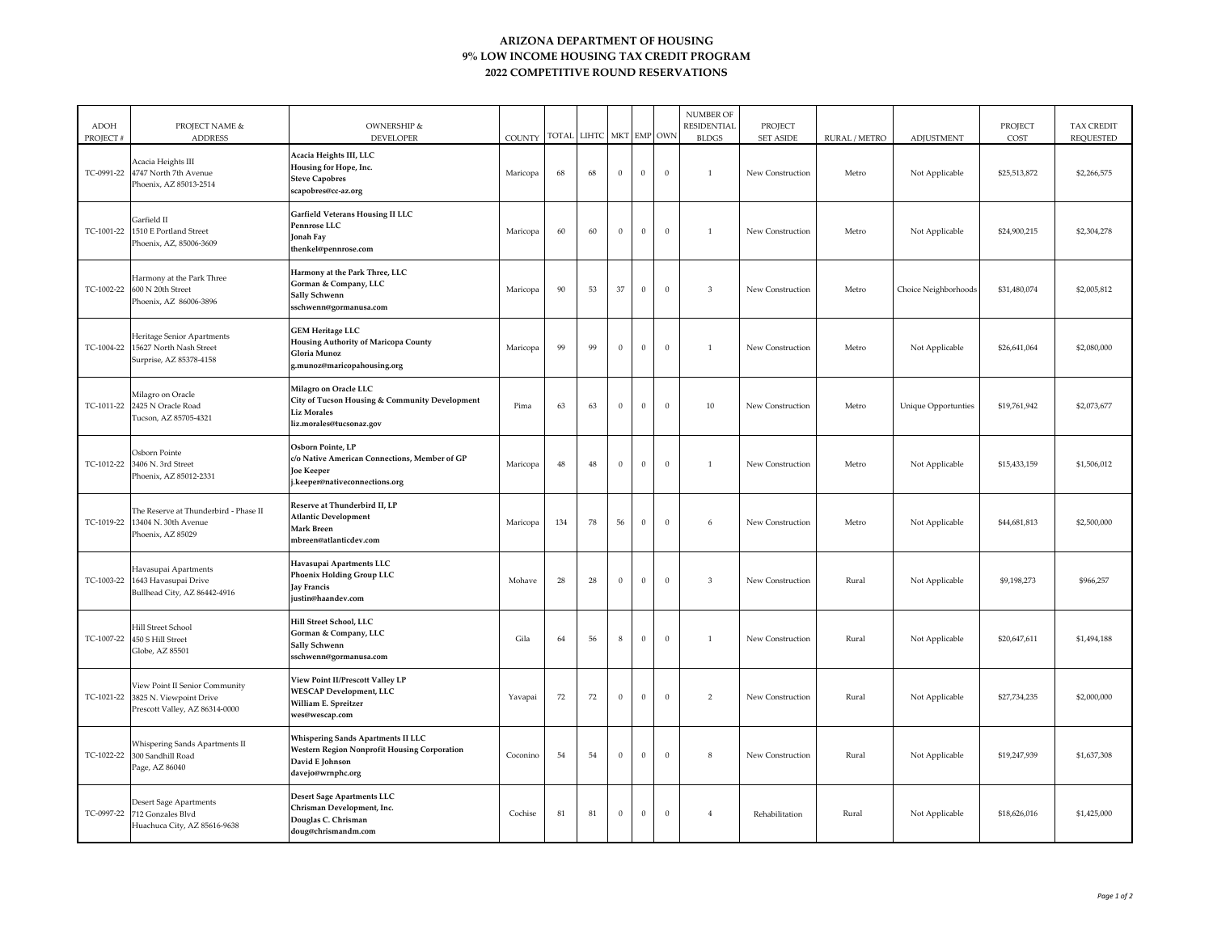## **ARIZONA DEPARTMENT OF HOUSING 9% LOW INCOME HOUSING TAX CREDIT PROGRAM 2022 COMPETITIVE ROUND RESERVATIONS**

| <b>ADOH</b><br>PROJECT# | PROJECT NAME &<br><b>ADDRESS</b>                                                                       | OWNERSHIP &<br><b>DEVELOPER</b>                                                                                                   | COUNTY   |        | TOTAL LIHTC |                  | MKT EMP OWN    |              | <b>NUMBER OF</b><br>RESIDENTIAL<br><b>BLDGS</b> | PROJECT<br><b>SET ASIDE</b> | RURAL / METRO | ADJUSTMENT                 | PROJECT<br>COST | <b>TAX CREDIT</b><br><b>REQUESTED</b> |
|-------------------------|--------------------------------------------------------------------------------------------------------|-----------------------------------------------------------------------------------------------------------------------------------|----------|--------|-------------|------------------|----------------|--------------|-------------------------------------------------|-----------------------------|---------------|----------------------------|-----------------|---------------------------------------|
| TC-0991-22              | Acacia Heights III<br>4747 North 7th Avenue<br>Phoenix, AZ 85013-2514                                  | Acacia Heights III, LLC<br>Housing for Hope, Inc.<br><b>Steve Capobres</b><br>scapobres@cc-az.org                                 | Maricopa | 68     | 68          | $\bf{0}$         | $\Omega$       | $\mathbf{0}$ | <sup>1</sup>                                    | New Construction            | Metro         | Not Applicable             | \$25,513,872    | \$2,266,575                           |
| TC-1001-22              | Garfield II<br>1510 E Portland Street<br>Phoenix, AZ, 85006-3609                                       | <b>Garfield Veterans Housing II LLC</b><br>Pennrose LLC<br>Jonah Fay<br>thenkel@pennrose.com                                      | Maricopa | 60     | 60          | $\Omega$         | $\overline{0}$ | $\mathbf{0}$ | $\overline{1}$                                  | New Construction            | Metro         | Not Applicable             | \$24,900,215    | \$2,304,278                           |
| TC-1002-22              | Harmony at the Park Three<br>600 N 20th Street<br>Phoenix, AZ 86006-3896                               | Harmony at the Park Three, LLC<br>Gorman & Company, LLC<br>Sally Schwenn<br>sschwenn@gormanusa.com                                | Maricopa | $90\,$ | 53          | 37               | $\overline{0}$ | $\mathbf{0}$ | $\overline{3}$                                  | New Construction            | Metro         | Choice Neighborhoods       | \$31,480,074    | \$2,005,812                           |
|                         | Heritage Senior Apartments<br>TC-1004-22 15627 North Nash Street<br>Surprise, AZ 85378-4158            | <b>GEM Heritage LLC</b><br><b>Housing Authority of Maricopa County</b><br>Gloria Munoz<br>g.munoz@maricopahousing.org             | Maricopa | 99     | 99          | $\mathbf{0}$     | $\overline{0}$ | $\mathbf{0}$ | $\mathbf{1}$                                    | New Construction            | Metro         | Not Applicable             | \$26,641,064    | \$2,080,000                           |
|                         | Milagro on Oracle<br>TC-1011-22 2425 N Oracle Road<br>Tucson, AZ 85705-4321                            | Milagro on Oracle LLC<br>City of Tucson Housing & Community Development<br><b>Liz Morales</b><br>liz.morales@tucsonaz.gov         | Pima     | 63     | 63          | $\boldsymbol{0}$ | $\mathbf{0}$   | $\,0\,$      | 10                                              | New Construction            | Metro         | <b>Unique Opportunties</b> | \$19,761,942    | \$2,073,677                           |
| TC-1012-22              | Osborn Pointe<br>3406 N. 3rd Street<br>Phoenix, AZ 85012-2331                                          | Osborn Pointe, LP<br>c/o Native American Connections, Member of GP<br>Joe Keeper<br>.keeper@nativeconnections.org                 | Maricopa | 48     | 48          | $\,0\,$          | $\overline{0}$ | $\mathbf{0}$ | $\mathbf{1}$                                    | New Construction            | Metro         | Not Applicable             | \$15,433,159    | \$1,506,012                           |
|                         | The Reserve at Thunderbird - Phase II<br>TC-1019-22 13404 N. 30th Avenue<br>Phoenix, AZ 85029          | Reserve at Thunderbird II, LP<br><b>Atlantic Development</b><br>Mark Breen<br>mbreen@atlanticdev.com                              | Maricopa | 134    | 78          | 56               | $\overline{0}$ | $\mathbf{0}$ | 6                                               | New Construction            | Metro         | Not Applicable             | \$44,681,813    | \$2,500,000                           |
|                         | Havasupai Apartments<br>TC-1003-22 1643 Havasupai Drive<br>Bullhead City, AZ 86442-4916                | Havasupai Apartments LLC<br><b>Phoenix Holding Group LLC</b><br>Jay Francis<br>justin@haandev.com                                 | Mohave   | 28     | 28          | $\,0\,$          | $\overline{0}$ | $\,0\,$      | $\overline{3}$                                  | New Construction            | Rural         | Not Applicable             | \$9,198,273     | \$966,257                             |
|                         | <b>Hill Street School</b><br>TC-1007-22 450 S Hill Street<br>Globe, AZ 85501                           | Hill Street School, LLC<br>Gorman & Company, LLC<br>Sally Schwenn<br>sschwenn@gormanusa.com                                       | Gila     | 64     | 56          | 8                | $\overline{0}$ | $\mathbf{0}$ | $\mathbf{1}$                                    | New Construction            | Rural         | Not Applicable             | \$20,647,611    | \$1,494,188                           |
|                         | View Point II Senior Community<br>TC-1021-22 3825 N. Viewpoint Drive<br>Prescott Valley, AZ 86314-0000 | View Point II/Prescott Valley LP<br><b>WESCAP Development, LLC</b><br>William E. Spreitzer<br>wes@wescap.com                      | Yavapai  | $72\,$ | $72\,$      | $\mathbf{0}$     | $\overline{0}$ | $\mathbf{0}$ | $\overline{2}$                                  | New Construction            | Rural         | Not Applicable             | \$27,734,235    | \$2,000,000                           |
| TC-1022-22              | Whispering Sands Apartments II<br>300 Sandhill Road<br>Page, AZ 86040                                  | Whispering Sands Apartments II LLC<br><b>Western Region Nonprofit Housing Corporation</b><br>David E Johnson<br>davejo@wrnphc.org | Coconino | 54     | 54          | $\mathbf{0}$     | $\overline{0}$ | $\mathbf{0}$ | 8                                               | New Construction            | Rural         | Not Applicable             | \$19,247,939    | \$1,637,308                           |
| TC-0997-22              | <b>Desert Sage Apartments</b><br>712 Gonzales Blvd<br>Huachuca City, AZ 85616-9638                     | Desert Sage Apartments LLC<br>Chrisman Development, Inc.<br>Douglas C. Chrisman<br>doug@chrismandm.com                            | Cochise  | 81     | 81          | $\Omega$         | $\overline{0}$ | $\mathbf{0}$ | $\overline{4}$                                  | Rehabilitation              | Rural         | Not Applicable             | \$18,626,016    | \$1,425,000                           |